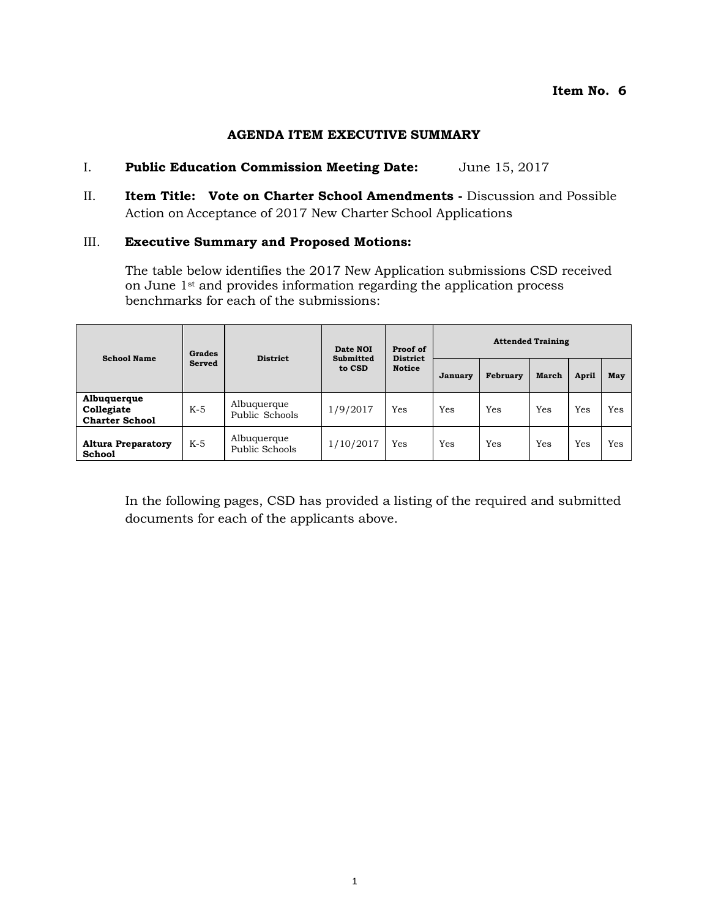### **AGENDA ITEM EXECUTIVE SUMMARY**

### I. **Public Education Commission Meeting Date:** June 15, 2017

II. **Item Title: Vote on Charter School Amendments -** Discussion and Possible Action on Acceptance of 2017 New Charter School Applications

#### III. **Executive Summary and Proposed Motions:**

The table below identifies the 2017 New Application submissions CSD received on June 1<sup>st</sup> and provides information regarding the application process benchmarks for each of the submissions:

| <b>School Name</b>                                 | <b>Grades</b> | <b>District</b>               | Date NOI<br>Submitted<br>to CSD | Proof of<br><b>District</b><br><b>Notice</b> | <b>Attended Training</b> |                 |       |       |     |
|----------------------------------------------------|---------------|-------------------------------|---------------------------------|----------------------------------------------|--------------------------|-----------------|-------|-------|-----|
|                                                    | <b>Served</b> |                               |                                 |                                              | January                  | <b>February</b> | March | April | May |
| Albuquerque<br>Collegiate<br><b>Charter School</b> | $K-5$         | Albuquerque<br>Public Schools | 1/9/2017                        | Yes                                          | Yes                      | Yes             | Yes   | Yes   | Yes |
| <b>Altura Preparatory</b><br><b>School</b>         | $K-5$         | Albuquerque<br>Public Schools | 1/10/2017                       | Yes                                          | Yes                      | Yes             | Yes   | Yes   | Yes |

In the following pages, CSD has provided a listing of the required and submitted documents for each of the applicants above.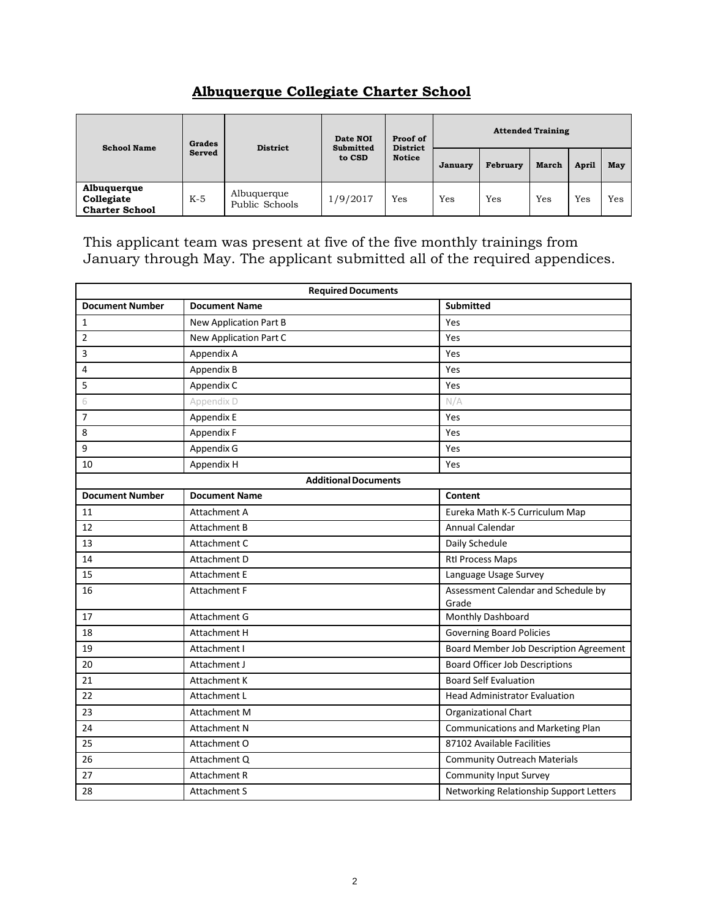# **Albuquerque Collegiate Charter School**

| <b>School Name</b>                                 | Grades        |                               | Date NOI<br><b>District</b><br><b>Submitted</b><br>to CSD | Proof of<br><b>District</b><br><b>Notice</b> | <b>Attended Training</b> |          |       |       |     |
|----------------------------------------------------|---------------|-------------------------------|-----------------------------------------------------------|----------------------------------------------|--------------------------|----------|-------|-------|-----|
|                                                    | <b>Served</b> |                               |                                                           |                                              | January                  | February | March | April | May |
| Albuquerque<br>Collegiate<br><b>Charter School</b> | $K-5$         | Albuquerque<br>Public Schools | 1/9/2017                                                  | Yes                                          | Yes                      | Yes      | Yes   | Yes   | Yes |

This applicant team was present at five of the five monthly trainings from January through May. The applicant submitted all of the required appendices.

| <b>Required Documents</b> |                             |                                              |  |  |  |  |  |  |
|---------------------------|-----------------------------|----------------------------------------------|--|--|--|--|--|--|
| <b>Document Number</b>    | <b>Document Name</b>        | <b>Submitted</b>                             |  |  |  |  |  |  |
| 1                         | New Application Part B      | Yes                                          |  |  |  |  |  |  |
| $\overline{2}$            | New Application Part C      | Yes                                          |  |  |  |  |  |  |
| 3                         | Appendix A                  | Yes                                          |  |  |  |  |  |  |
| 4                         | Appendix B                  | Yes                                          |  |  |  |  |  |  |
| 5                         | Appendix C                  | Yes                                          |  |  |  |  |  |  |
| 6                         | Appendix D                  | N/A                                          |  |  |  |  |  |  |
| $\overline{7}$            | Appendix E                  | Yes                                          |  |  |  |  |  |  |
| 8                         | Appendix F                  | Yes                                          |  |  |  |  |  |  |
| 9                         | Appendix G                  | Yes                                          |  |  |  |  |  |  |
| 10                        | Appendix H                  | Yes                                          |  |  |  |  |  |  |
|                           | <b>Additional Documents</b> |                                              |  |  |  |  |  |  |
| <b>Document Number</b>    | <b>Document Name</b>        | Content                                      |  |  |  |  |  |  |
| 11                        | Attachment A                | Eureka Math K-5 Curriculum Map               |  |  |  |  |  |  |
| 12                        | <b>Attachment B</b>         | <b>Annual Calendar</b>                       |  |  |  |  |  |  |
| 13                        | Attachment C                | Daily Schedule                               |  |  |  |  |  |  |
| 14                        | Attachment D                | <b>Rtl Process Maps</b>                      |  |  |  |  |  |  |
| 15                        | <b>Attachment E</b>         | Language Usage Survey                        |  |  |  |  |  |  |
| 16                        | <b>Attachment F</b>         | Assessment Calendar and Schedule by<br>Grade |  |  |  |  |  |  |
| 17                        | Attachment G                | Monthly Dashboard                            |  |  |  |  |  |  |
| 18                        | <b>Attachment H</b>         | <b>Governing Board Policies</b>              |  |  |  |  |  |  |
| 19                        | Attachment I                | Board Member Job Description Agreement       |  |  |  |  |  |  |
| 20                        | Attachment J                | <b>Board Officer Job Descriptions</b>        |  |  |  |  |  |  |
| 21                        | <b>Attachment K</b>         | <b>Board Self Evaluation</b>                 |  |  |  |  |  |  |
| 22                        | Attachment L                | <b>Head Administrator Evaluation</b>         |  |  |  |  |  |  |
| 23                        | Attachment M                | <b>Organizational Chart</b>                  |  |  |  |  |  |  |
| 24                        | <b>Attachment N</b>         | <b>Communications and Marketing Plan</b>     |  |  |  |  |  |  |
| 25                        | Attachment O                | 87102 Available Facilities                   |  |  |  |  |  |  |
| 26                        | Attachment Q                | <b>Community Outreach Materials</b>          |  |  |  |  |  |  |
| 27                        | <b>Attachment R</b>         | <b>Community Input Survey</b>                |  |  |  |  |  |  |
| 28                        | <b>Attachment S</b>         | Networking Relationship Support Letters      |  |  |  |  |  |  |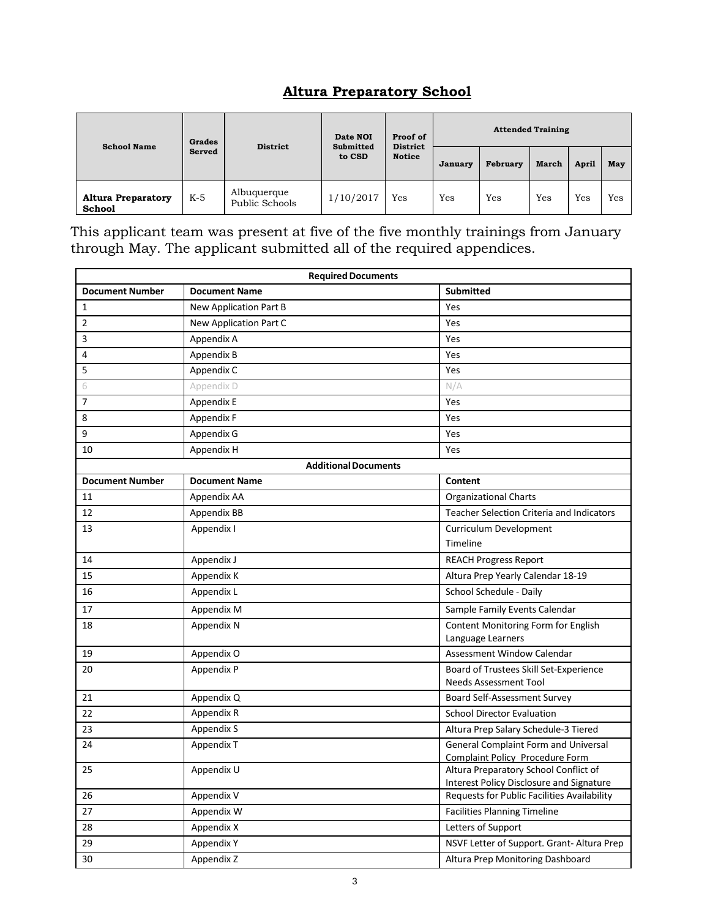# **Altura Preparatory School**

| <b>School Name</b>                         | Grades | <b>District</b>               | Date NOI<br><b>Submitted</b><br>to CSD | Proof of<br><b>District</b><br><b>Notice</b> | <b>Attended Training</b> |          |              |       |     |
|--------------------------------------------|--------|-------------------------------|----------------------------------------|----------------------------------------------|--------------------------|----------|--------------|-------|-----|
|                                            | Served |                               |                                        |                                              | January                  | February | <b>March</b> | April | May |
| <b>Altura Preparatory</b><br><b>School</b> | $K-5$  | Albuquerque<br>Public Schools | 1/10/2017                              | Yes                                          | Yes                      | Yes      | Yes          | Yes   | Yes |

This applicant team was present at five of the five monthly trainings from January through May. The applicant submitted all of the required appendices.

| <b>Required Documents</b> |                               |                                                                                          |  |  |  |  |
|---------------------------|-------------------------------|------------------------------------------------------------------------------------------|--|--|--|--|
| <b>Document Number</b>    | <b>Document Name</b>          | <b>Submitted</b>                                                                         |  |  |  |  |
| $\mathbf{1}$              | <b>New Application Part B</b> | Yes                                                                                      |  |  |  |  |
| $\overline{2}$            | New Application Part C        | Yes                                                                                      |  |  |  |  |
| 3                         | Appendix A                    | Yes                                                                                      |  |  |  |  |
| 4                         | Appendix B                    | Yes                                                                                      |  |  |  |  |
| 5                         | Appendix C                    | Yes                                                                                      |  |  |  |  |
| 6                         | Appendix D                    | N/A                                                                                      |  |  |  |  |
| 7                         | Appendix E                    | Yes                                                                                      |  |  |  |  |
| 8                         | Appendix F                    | Yes                                                                                      |  |  |  |  |
| 9                         | Appendix G                    | Yes                                                                                      |  |  |  |  |
| 10                        | Appendix H                    | Yes                                                                                      |  |  |  |  |
|                           | <b>Additional Documents</b>   |                                                                                          |  |  |  |  |
| <b>Document Number</b>    | <b>Document Name</b>          | Content                                                                                  |  |  |  |  |
| 11                        | Appendix AA                   | <b>Organizational Charts</b>                                                             |  |  |  |  |
| 12                        | Appendix BB                   | <b>Teacher Selection Criteria and Indicators</b>                                         |  |  |  |  |
| 13                        | Appendix I                    | Curriculum Development                                                                   |  |  |  |  |
|                           |                               | Timeline                                                                                 |  |  |  |  |
| 14                        | Appendix J                    | <b>REACH Progress Report</b>                                                             |  |  |  |  |
| 15                        | Appendix K                    | Altura Prep Yearly Calendar 18-19                                                        |  |  |  |  |
| 16                        | Appendix L                    | School Schedule - Daily                                                                  |  |  |  |  |
| 17                        | Appendix M                    | Sample Family Events Calendar                                                            |  |  |  |  |
| 18                        | Appendix N                    | Content Monitoring Form for English<br>Language Learners                                 |  |  |  |  |
| 19                        | Appendix O                    | Assessment Window Calendar                                                               |  |  |  |  |
| 20                        | Appendix P                    | Board of Trustees Skill Set-Experience<br><b>Needs Assessment Tool</b>                   |  |  |  |  |
| 21                        | Appendix Q                    | <b>Board Self-Assessment Survey</b>                                                      |  |  |  |  |
| 22                        | Appendix R                    | <b>School Director Evaluation</b>                                                        |  |  |  |  |
| 23                        | Appendix S                    | Altura Prep Salary Schedule-3 Tiered                                                     |  |  |  |  |
| 24                        | Appendix T                    | <b>General Complaint Form and Universal</b><br>Complaint Policy Procedure Form           |  |  |  |  |
| 25                        | Appendix U                    | Altura Preparatory School Conflict of<br><b>Interest Policy Disclosure and Signature</b> |  |  |  |  |
| 26                        | Appendix V                    | Requests for Public Facilities Availability                                              |  |  |  |  |
| 27                        | Appendix W                    | <b>Facilities Planning Timeline</b>                                                      |  |  |  |  |
| 28                        | Appendix X                    | Letters of Support                                                                       |  |  |  |  |
| 29                        | Appendix Y                    | NSVF Letter of Support. Grant- Altura Prep                                               |  |  |  |  |
| 30                        | Appendix Z                    | Altura Prep Monitoring Dashboard                                                         |  |  |  |  |
|                           |                               |                                                                                          |  |  |  |  |